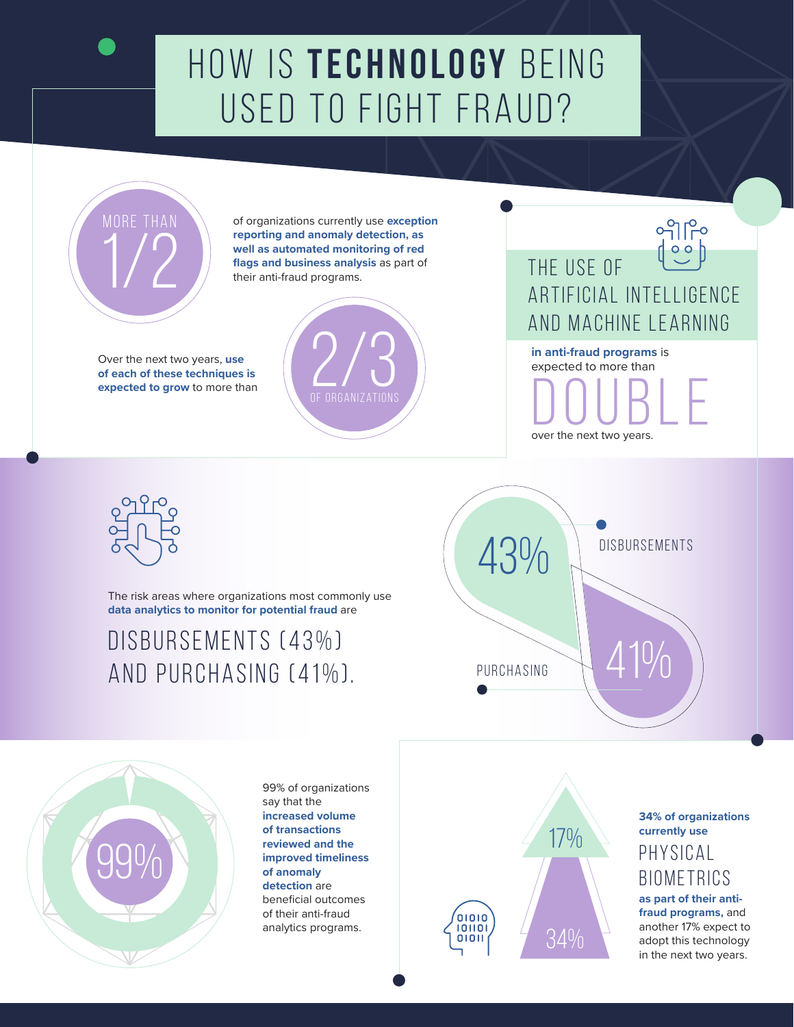# How is **technology** being used to fight fraud?



**MORE THAN CO** of organizations currently use exception **reporting and anomaly detection, as well as automated monitoring of red flags and business analysis** as part of their anti-fraud programs.

Over the next two years, **use of each of these techniques is** 



ၣၣၣ<br>၂၂၁၁<br>၁၁၂၁ the use of ARTIFICIAL INTELLIGENCE AND machine learning **in anti-fraud programs** is expected to more than DOUBLE

over the next two years.



The risk areas where organizations most commonly use **data analytics to monitor for potential fraud** are

#### disbursements (43%) and purchasing (41%).





99% of organizations say that the **increased volume of transactions reviewed and the improved timeliness of anomaly detection** are beneficial outcomes of their anti-fraud analytics programs.



**34% of organizations currently use as part of their antifraud programs,** and another 17% expect to adopt this technology in the next two years.  $\overline{17\%}$  eurrently use<br>PHYSICAL **BIOMETRICS**